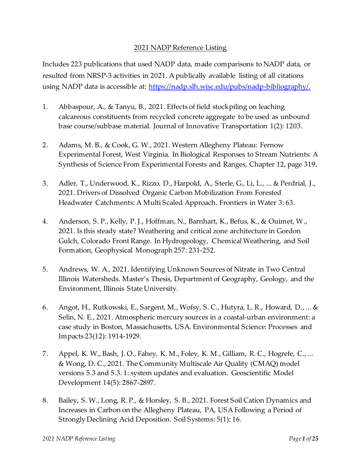## 2021 NADP Reference Listing

Includes 223 publications that used NADP data, made comparisons to NADP data, or resulted from NRSP-3 activities in 2021. A publically available listing of all citations using NADP data is accessible at: https://nadp.slh.wisc.edu/pubs/nadp-bibliography/.

- 1. Abbaspour, A., & Tanyu, B., 2021. Effects of field stockpiling on leaching calcareous constituents from recycled concrete aggregate to be used as unbound base course/subbase material. Journal of Innovative Transportation 1(2): 1203.
- 2. Adams, M. B., & Cook, G. W., 2021. Western Allegheny Plateau: Fernow Experimental Forest, West Virginia. In Biological Responses to Stream Nutrients: A Synthesis of Science From Experimental Forests and Ranges, Chapter 12, page 319.
- 3. Adler, T., Underwood, K., Rizzo, D., Harpold, A., Sterle, G., Li, L., ... & Perdrial, J., 2021. Drivers of Dissolved Organic Carbon Mobilization From Forested Headwater Catchments: A Multi Scaled Approach. Frontiers in Water 3: 63.
- 4. Anderson, S. P., Kelly, P. J., Hoffman, N., Barnhart, K., Befus, K., & Ouimet, W., 2021. Is this steady state? Weathering and critical zone architecture in Gordon Gulch, Colorado Front Range. In Hydrogeology, Chemical Weathering, and Soil Formation, Geophysical Monograph 257: 231-252.
- 5. Andrews, W. A., 2021. Identifying Unknown Sources of Nitrate in Two Central Illinois Watersheds. Master's Thesis, Department of Geography, Geology, and the Environment, Illinois State University.
- 6. Angot, H., Rutkowski, E., Sargent, M., Wofsy, S. C., Hutyra, L. R., Howard, D., ... & Selin, N. E., 2021. Atmospheric mercury sources in a coastal-urban environment: a case study in Boston, Massachusetts, USA. Environmental Science: Processes and Impacts 23(12): 1914-1929.
- 7. Appel, K. W., Bash, J. O., Fahey, K. M., Foley, K. M., Gilliam, R. C., Hogrefe, C., ... & Wong, D. C., 2021. The Community Multiscale Air Quality (CMAQ) model versions 5.3 and 5.3. 1: system updates and evaluation. Geoscientific Model Development 14(5): 2867-2897.
- 8. Bailey, S. W., Long, R. P., & Horsley, S. B., 2021. Forest Soil Cation Dynamics and Increases in Carbon on the Allegheny Plateau, PA, USA Following a Period of Strongly Declining Acid Deposition. Soil Systems: 5(1): 16.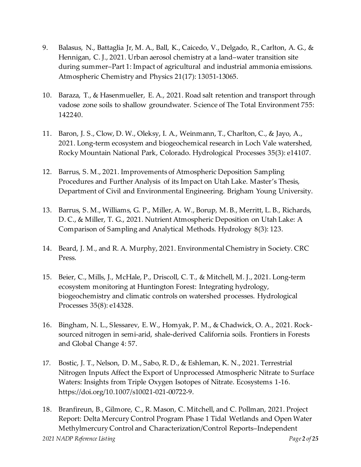- 9. Balasus, N., Battaglia Jr, M. A., Ball, K., Caicedo, V., Delgado, R., Carlton, A. G., & Hennigan, C. J., 2021. Urban aerosol chemistry at a land–water transition site during summer–Part 1: Impact of agricultural and industrial ammonia emissions. Atmospheric Chemistry and Physics 21(17): 13051-13065.
- 10. Baraza, T., & Hasenmueller, E. A., 2021. Road salt retention and transport through vadose zone soils to shallow groundwater. Science of The Total Environment 755: 142240.
- 11. Baron, J. S., Clow, D. W., Oleksy, I. A., Weinmann, T., Charlton, C., & Jayo, A., 2021. Long‐term ecosystem and biogeochemical research in Loch Vale watershed, Rocky Mountain National Park, Colorado. Hydrological Processes 35(3): e14107.
- 12. Barrus, S. M., 2021. Improvements of Atmospheric Deposition Sampling Procedures and Further Analysis of its Impact on Utah Lake. Master's Thesis, Department of Civil and Environmental Engineering. Brigham Young University.
- 13. Barrus, S. M., Williams, G. P., Miller, A. W., Borup, M. B., Merritt, L. B., Richards, D. C., & Miller, T. G., 2021. Nutrient Atmospheric Deposition on Utah Lake: A Comparison of Sampling and Analytical Methods. Hydrology 8(3): 123.
- 14. Beard, J. M., and R. A. Murphy, 2021. Environmental Chemistry in Society. CRC Press.
- 15. Beier, C., Mills, J., McHale, P., Driscoll, C. T., & Mitchell, M. J., 2021. Long‐term ecosystem monitoring at Huntington Forest: Integrating hydrology, biogeochemistry and climatic controls on watershed processes. Hydrological Processes 35(8): e14328.
- 16. Bingham, N. L., Slessarev, E. W., Homyak, P. M., & Chadwick, O. A., 2021. Rocksourced nitrogen in semi-arid, shale-derived California soils. Frontiers in Forests and Global Change 4: 57.
- 17. Bostic, J. T., Nelson, D. M., Sabo, R. D., & Eshleman, K. N., 2021. Terrestrial Nitrogen Inputs Affect the Export of Unprocessed Atmospheric Nitrate to Surface Waters: Insights from Triple Oxygen Isotopes of Nitrate. Ecosystems 1-16. https://doi.org/10.1007/s10021-021-00722-9.

*2021 NADP Reference Listing Page 2 of 25* 18. Branfireun, B., Gilmore, C., R. Mason, C. Mitchell, and C. Pollman, 2021. Project Report: Delta Mercury Control Program Phase 1 Tidal Wetlands and Open Water Methylmercury Control and Characterization/Control Reports–Independent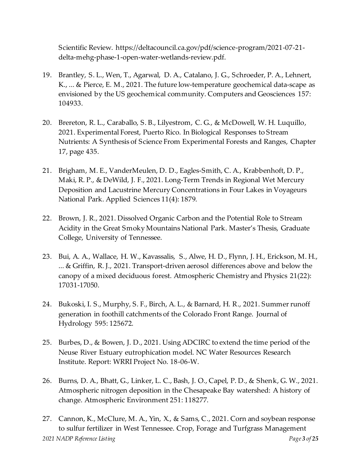Scientific Review. https://deltacouncil.ca.gov/pdf/science-program/2021-07-21 delta-mehg-phase-1-open-water-wetlands-review.pdf.

- 19. Brantley, S. L., Wen, T., Agarwal, D. A., Catalano, J. G., Schroeder, P. A., Lehnert, K., ... & Pierce, E. M., 2021. The future low-temperature geochemical data-scape as envisioned by the US geochemical community. Computers and Geosciences 157: 104933.
- 20. Brereton, R. L., Caraballo, S. B., Lilyestrom, C. G., & McDowell, W. H. Luquillo, 2021. Experimental Forest, Puerto Rico. In Biological Responses to Stream Nutrients: A Synthesis of Science From Experimental Forests and Ranges, Chapter 17, page 435.
- 21. Brigham, M. E., VanderMeulen, D. D., Eagles-Smith, C. A., Krabbenhoft, D. P., Maki, R. P., & DeWild, J. F., 2021. Long-Term Trends in Regional Wet Mercury Deposition and Lacustrine Mercury Concentrations in Four Lakes in Voyageurs National Park. Applied Sciences 11(4): 1879.
- 22. Brown, J. R., 2021. Dissolved Organic Carbon and the Potential Role to Stream Acidity in the Great Smoky Mountains National Park. Master's Thesis, Graduate College, University of Tennessee.
- 23. Bui, A. A., Wallace, H. W., Kavassalis, S., Alwe, H. D., Flynn, J. H., Erickson, M. H., ... & Griffin, R. J., 2021. Transport-driven aerosol differences above and below the canopy of a mixed deciduous forest. Atmospheric Chemistry and Physics 21(22): 17031-17050.
- 24. Bukoski, I. S., Murphy, S. F., Birch, A. L., & Barnard, H. R., 2021. Summer runoff generation in foothill catchments of the Colorado Front Range. Journal of Hydrology 595: 125672.
- 25. Burbes, D., & Bowen, J. D., 2021. Using ADCIRC to extend the time period of the Neuse River Estuary eutrophication model. NC Water Resources Research Institute. Report: WRRI Project No. 18-06-W.
- 26. Burns, D. A., Bhatt, G., Linker, L. C., Bash, J. O., Capel, P. D., & Shenk, G. W., 2021. Atmospheric nitrogen deposition in the Chesapeake Bay watershed: A history of change. Atmospheric Environment 251: 118277.
- *2021 NADP Reference Listing Page 3 of 25* 27. Cannon, K., McClure, M. A., Yin, X., & Sams, C., 2021. Corn and soybean response to sulfur fertilizer in West Tennessee. Crop, Forage and Turfgrass Management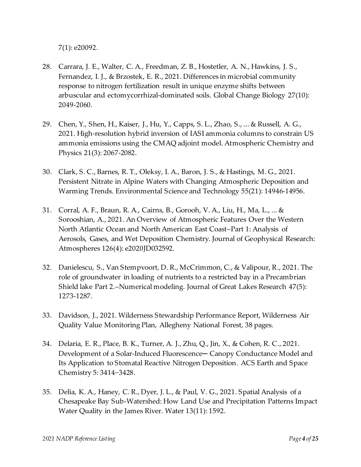7(1): e20092.

- 28. Carrara, J. E., Walter, C. A., Freedman, Z. B., Hostetler, A. N., Hawkins, J. S., Fernandez, I. J., & Brzostek, E. R., 2021. Differences in microbial community response to nitrogen fertilization result in unique enzyme shifts between arbuscular and ectomycorrhizal‐dominated soils. Global Change Biology 27(10): 2049-2060.
- 29. Chen, Y., Shen, H., Kaiser, J., Hu, Y., Capps, S. L., Zhao, S., ... & Russell, A. G., 2021. High-resolution hybrid inversion of IASI ammonia columns to constrain US ammonia emissions using the CMAQ adjoint model. Atmospheric Chemistry and Physics 21(3): 2067-2082.
- 30. Clark, S. C., Barnes, R. T., Oleksy, I. A., Baron, J. S., & Hastings, M. G., 2021. Persistent Nitrate in Alpine Waters with Changing Atmospheric Deposition and Warming Trends. Environmental Science and Technology 55(21): 14946-14956.
- 31. Corral, A. F., Braun, R. A., Cairns, B., Gorooh, V. A., Liu, H., Ma, L., ... & Sorooshian, A., 2021. An Overview of Atmospheric Features Over the Western North Atlantic Ocean and North American East Coast–Part 1: Analysis of Aerosols, Gases, and Wet Deposition Chemistry. Journal of Geophysical Research: Atmospheres 126(4): e2020JD032592.
- 32. Danielescu, S., Van Stempvoort, D. R., McCrimmon, C., & Valipour, R., 2021. The role of groundwater in loading of nutrients to a restricted bay in a Precambrian Shield lake Part 2.–Numerical modeling. Journal of Great Lakes Research 47(5): 1273-1287.
- 33. Davidson, J., 2021. Wilderness Stewardship Performance Report, Wilderness Air Quality Value Monitoring Plan, Allegheny National Forest, 38 pages.
- 34. Delaria, E. R., Place, B. K., Turner, A. J., Zhu, Q., Jin, X., & Cohen, R. C., 2021. Development of a Solar-Induced Fluorescence- Canopy Conductance Model and Its Application to Stomatal Reactive Nitrogen Deposition. ACS Earth and Space Chemistry 5: 3414−3428.
- 35. Delia, K. A., Haney, C. R., Dyer, J. L., & Paul, V. G., 2021. Spatial Analysis of a Chesapeake Bay Sub-Watershed: How Land Use and Precipitation Patterns Impact Water Quality in the James River. Water 13(11): 1592.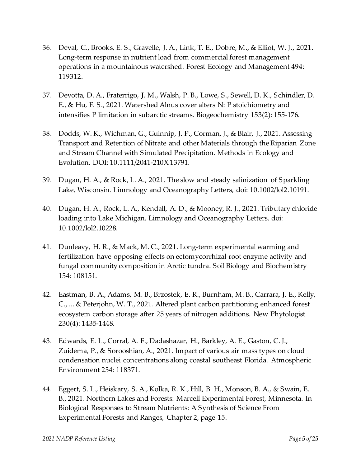- 36. Deval, C., Brooks, E. S., Gravelle, J. A., Link, T. E., Dobre, M., & Elliot, W. J., 2021. Long-term response in nutrient load from commercial forest management operations in a mountainous watershed. Forest Ecology and Management 494: 119312.
- 37. Devotta, D. A., Fraterrigo, J. M., Walsh, P. B., Lowe, S., Sewell, D. K., Schindler, D. E., & Hu, F. S., 2021. Watershed Alnus cover alters N: P stoichiometry and intensifies P limitation in subarctic streams. Biogeochemistry 153(2): 155-176.
- 38. Dodds, W. K., Wichman, G., Guinnip, J. P., Corman, J., & Blair, J., 2021. Assessing Transport and Retention of Nitrate and other Materials through the Riparian Zone and Stream Channel with Simulated Precipitation. Methods in Ecology and Evolution. DOI: 10.1111/2041-210X.13791.
- 39. Dugan, H. A., & Rock, L. A., 2021. The slow and steady salinization of Sparkling Lake, Wisconsin. Limnology and Oceanography Letters, doi: 10.1002/lol2.10191.
- 40. Dugan, H. A., Rock, L. A., Kendall, A. D., & Mooney, R. J., 2021. Tributary chloride loading into Lake Michigan. Limnology and Oceanography Letters. doi: 10.1002/lol2.10228.
- 41. Dunleavy, H. R., & Mack, M. C., 2021. Long-term experimental warming and fertilization have opposing effects on ectomycorrhizal root enzyme activity and fungal community composition in Arctic tundra. Soil Biology and Biochemistry 154: 108151.
- 42. Eastman, B. A., Adams, M. B., Brzostek, E. R., Burnham, M. B., Carrara, J. E., Kelly, C., ... & Peterjohn, W. T., 2021. Altered plant carbon partitioning enhanced forest ecosystem carbon storage after 25 years of nitrogen additions. New Phytologist 230(4): 1435-1448.
- 43. Edwards, E. L., Corral, A. F., Dadashazar, H., Barkley, A. E., Gaston, C. J., Zuidema, P., & Sorooshian, A., 2021. Impact of various air mass types on cloud condensation nuclei concentrations along coastal southeast Florida. Atmospheric Environment 254: 118371.
- 44. Eggert, S. L., Heiskary, S. A., Kolka, R. K., Hill, B. H., Monson, B. A., & Swain, E. B., 2021. Northern Lakes and Forests: Marcell Experimental Forest, Minnesota. In Biological Responses to Stream Nutrients: A Synthesis of Science From Experimental Forests and Ranges, Chapter 2, page 15.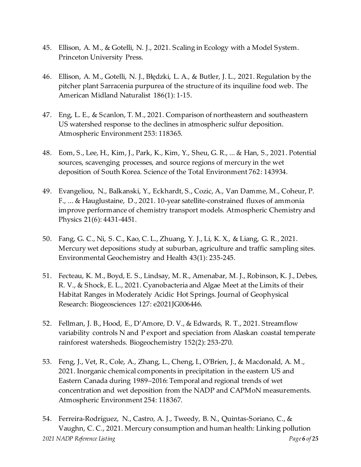- 45. Ellison, A. M., & Gotelli, N. J., 2021. Scaling in Ecology with a Model System. Princeton University Press.
- 46. Ellison, A. M., Gotelli, N. J., Błędzki, L. A., & Butler, J. L., 2021. Regulation by the pitcher plant Sarracenia purpurea of the structure of its inquiline food web. The American Midland Naturalist 186(1): 1-15.
- 47. Eng, L. E., & Scanlon, T. M., 2021. Comparison of northeastern and southeastern US watershed response to the declines in atmospheric sulfur deposition. Atmospheric Environment 253: 118365.
- 48. Eom, S., Lee, H., Kim, J., Park, K., Kim, Y., Sheu, G. R., ... & Han, S., 2021. Potential sources, scavenging processes, and source regions of mercury in the wet deposition of South Korea. Science of the Total Environment 762: 143934.
- 49. Evangeliou, N., Balkanski, Y., Eckhardt, S., Cozic, A., Van Damme, M., Coheur, P. F., ... & Hauglustaine, D., 2021. 10-year satellite-constrained fluxes of ammonia improve performance of chemistry transport models. Atmospheric Chemistry and Physics 21(6): 4431-4451.
- 50. Fang, G. C., Ni, S. C., Kao, C. L., Zhuang, Y. J., Li, K. X., & Liang, G. R., 2021. Mercury wet depositions study at suburban, agriculture and traffic sampling sites. Environmental Geochemistry and Health 43(1): 235-245.
- 51. Fecteau, K. M., Boyd, E. S., Lindsay, M. R., Amenabar, M. J., Robinson, K. J., Debes, R. V., & Shock, E. L., 2021. Cyanobacteria and Algae Meet at the Limits of their Habitat Ranges in Moderately Acidic Hot Springs. Journal of Geophysical Research: Biogeosciences 127: e2021JG006446.
- 52. Fellman, J. B., Hood, E., D'Amore, D. V., & Edwards, R. T., 2021. Streamflow variability controls N and P export and speciation from Alaskan coastal temperate rainforest watersheds. Biogeochemistry 152(2): 253-270.
- 53. Feng, J., Vet, R., Cole, A., Zhang, L., Cheng, I., O'Brien, J., & Macdonald, A. M., 2021. Inorganic chemical components in precipitation in the eastern US and Eastern Canada during 1989–2016: Temporal and regional trends of wet concentration and wet deposition from the NADP and CAPMoN measurements. Atmospheric Environment 254: 118367.
- *2021 NADP Reference Listing Page 6 of 25* 54. Ferreira-Rodríguez, N., Castro, A. J., Tweedy, B. N., Quintas-Soriano, C., & Vaughn, C. C., 2021. Mercury consumption and human health: Linking pollution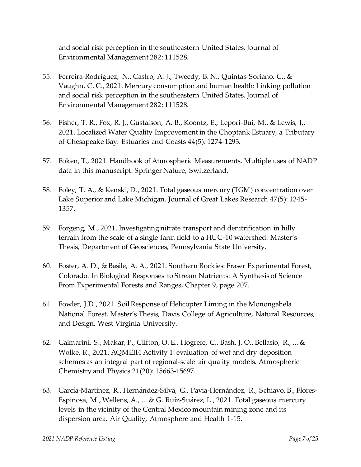and social risk perception in the southeastern United States. Journal of Environmental Management 282: 111528.

- 55. Ferreira-Rodríguez, N., Castro, A. J., Tweedy, B. N., Quintas-Soriano, C., & Vaughn, C. C., 2021. Mercury consumption and human health: Linking pollution and social risk perception in the southeastern United States. Journal of Environmental Management 282: 111528.
- 56. Fisher, T. R., Fox, R. J., Gustafson, A. B., Koontz, E., Lepori-Bui, M., & Lewis, J., 2021. Localized Water Quality Improvement in the Choptank Estuary, a Tributary of Chesapeake Bay. Estuaries and Coasts 44(5): 1274-1293.
- 57. Foken, T., 2021. Handbook of Atmospheric Measurements. Multiple uses of NADP data in this manuscript. Springer Nature, Switzerland.
- 58. Foley, T. A., & Kenski, D., 2021. Total gaseous mercury (TGM) concentration over Lake Superior and Lake Michigan. Journal of Great Lakes Research 47(5): 1345- 1357.
- 59. Forgeng, M., 2021. Investigating nitrate transport and denitrification in hilly terrain from the scale of a single farm field to a HUC-10 watershed. Master's Thesis, Department of Geosciences, Pennsylvania State University.
- 60. Foster, A. D., & Basile, A. A., 2021. Southern Rockies: Fraser Experimental Forest, Colorado. In Biological Responses to Stream Nutrients: A Synthesis of Science From Experimental Forests and Ranges, Chapter 9, page 207.
- 61. Fowler, J.D., 2021. Soil Response of Helicopter Liming in the Monongahela National Forest. Master's Thesis, Davis College of Agriculture, Natural Resources, and Design, West Virginia University.
- 62. Galmarini, S., Makar, P., Clifton, O. E., Hogrefe, C., Bash, J. O., Bellasio, R., ... & Wolke, R., 2021. AQMEII4 Activity 1: evaluation of wet and dry deposition schemes as an integral part of regional-scale air quality models. Atmospheric Chemistry and Physics 21(20): 15663-15697.
- 63. García-Martínez, R., Hernández-Silva, G., Pavia-Hernández, R., Schiavo, B., Flores-Espinosa, M., Wellens, A., ... & G. Ruíz-Suárez, L., 2021. Total gaseous mercury levels in the vicinity of the Central Mexico mountain mining zone and its dispersion area. Air Quality, Atmosphere and Health 1-15.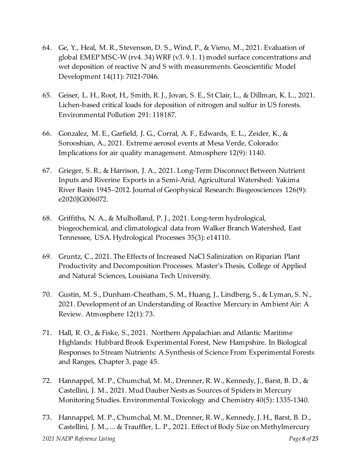- 64. Ge, Y., Heal, M. R., Stevenson, D. S., Wind, P., & Vieno, M., 2021. Evaluation of global EMEP MSC-W (rv4. 34) WRF (v3. 9.1. 1) model surface concentrations and wet deposition of reactive N and S with measurements. Geoscientific Model Development 14(11): 7021-7046.
- 65. Geiser, L. H., Root, H., Smith, R. J., Jovan, S. E., St Clair, L., & Dillman, K. L., 2021. Lichen-based critical loads for deposition of nitrogen and sulfur in US forests. Environmental Pollution 291: 118187.
- 66. Gonzalez, M. E., Garfield, J. G., Corral, A. F., Edwards, E. L., Zeider, K., & Sorooshian, A., 2021. Extreme aerosol events at Mesa Verde, Colorado: Implications for air quality management. Atmosphere 12(9): 1140.
- 67. Grieger, S. R., & Harrison, J. A., 2021. Long‐Term Disconnect Between Nutrient Inputs and Riverine Exports in a Semi‐Arid, Agricultural Watershed: Yakima River Basin 1945–2012. Journal of Geophysical Research: Biogeosciences 126(9): e2020JG006072.
- 68. Griffiths, N. A., & Mulholland, P. J., 2021. Long‐term hydrological, biogeochemical, and climatological data from Walker Branch Watershed, East Tennessee, USA. Hydrological Processes 35(3): e14110.
- 69. Gruntz, C., 2021. The Effects of Increased NaCl Salinization on Riparian Plant Productivity and Decomposition Processes. Master's Thesis, College of Applied and Natural Sciences, Louisiana Tech University.
- 70. Gustin, M. S., Dunham-Cheatham, S. M., Huang, J., Lindberg, S., & Lyman, S. N., 2021. Development of an Understanding of Reactive Mercury in Ambient Air: A Review. Atmosphere 12(1): 73.
- 71. Hall, R. O., & Fiske, S., 2021. Northern Appalachian and Atlantic Maritime Highlands: Hubbard Brook Experimental Forest, New Hampshire. In Biological Responses to Stream Nutrients: A Synthesis of Science From Experimental Forests and Ranges, Chapter 3, page 45.
- 72. Hannappel, M. P., Chumchal, M. M., Drenner, R. W., Kennedy, J., Barst, B. D., & Castellini, J. M., 2021. Mud Dauber Nests as Sources of Spiders in Mercury Monitoring Studies. Environmental Toxicology and Chemistry 40(5): 1335-1340.
- *2021 NADP Reference Listing Page 8 of 25* 73. Hannappel, M. P., Chumchal, M. M., Drenner, R. W., Kennedy, J. H., Barst, B. D., Castellini, J. M., ... & Trauffler, L. P., 2021. Effect of Body Size on Methylmercury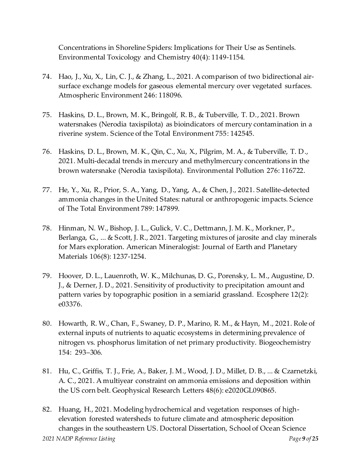Concentrations in Shoreline Spiders: Implications for Their Use as Sentinels. Environmental Toxicology and Chemistry 40(4): 1149-1154.

- 74. Hao, J., Xu, X., Lin, C. J., & Zhang, L., 2021. A comparison of two bidirectional airsurface exchange models for gaseous elemental mercury over vegetated surfaces. Atmospheric Environment 246: 118096.
- 75. Haskins, D. L., Brown, M. K., Bringolf, R. B., & Tuberville, T. D., 2021. Brown watersnakes (Nerodia taxispilota) as bioindicators of mercury contamination in a riverine system. Science of the Total Environment 755: 142545.
- 76. Haskins, D. L., Brown, M. K., Qin, C., Xu, X., Pilgrim, M. A., & Tuberville, T. D., 2021. Multi-decadal trends in mercury and methylmercury concentrations in the brown watersnake (Nerodia taxispilota). Environmental Pollution 276: 116722.
- 77. He, Y., Xu, R., Prior, S. A., Yang, D., Yang, A., & Chen, J., 2021. Satellite-detected ammonia changes in the United States: natural or anthropogenic impacts. Science of The Total Environment 789: 147899.
- 78. Hinman, N. W., Bishop, J. L., Gulick, V. C., Dettmann, J. M. K., Morkner, P., Berlanga, G., ... & Scott, J. R., 2021. Targeting mixtures of jarosite and clay minerals for Mars exploration. American Mineralogist: Journal of Earth and Planetary Materials 106(8): 1237-1254.
- 79. Hoover, D. L., Lauenroth, W. K., Milchunas, D. G., Porensky, L. M., Augustine, D. J., & Derner, J. D., 2021. Sensitivity of productivity to precipitation amount and pattern varies by topographic position in a semiarid grassland. Ecosphere 12(2): e03376.
- 80. Howarth, R. W., Chan, F., Swaney, D. P., Marino, R. M., & Hayn, M., 2021. Role of external inputs of nutrients to aquatic ecosystems in determining prevalence of nitrogen vs. phosphorus limitation of net primary productivity. Biogeochemistry 154: 293–306.
- 81. Hu, C., Griffis, T. J., Frie, A., Baker, J. M., Wood, J. D., Millet, D. B., ... & Czarnetzki, A. C., 2021. A multiyear constraint on ammonia emissions and deposition within the US corn belt. Geophysical Research Letters 48(6): e2020GL090865.
- *2021 NADP Reference Listing Page 9 of 25* 82. Huang, H., 2021. Modeling hydrochemical and vegetation responses of highelevation forested watersheds to future climate and atmospheric deposition changes in the southeastern US. Doctoral Dissertation, School of Ocean Science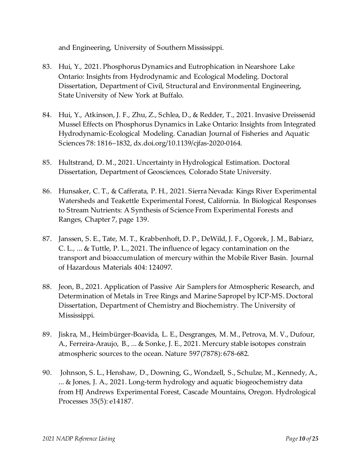and Engineering, University of Southern Mississippi.

- 83. Hui, Y., 2021. Phosphorus Dynamics and Eutrophication in Nearshore Lake Ontario: Insights from Hydrodynamic and Ecological Modeling. Doctoral Dissertation, Department of Civil, Structural and Environmental Engineering, State University of New York at Buffalo.
- 84. Hui, Y., Atkinson, J. F., Zhu, Z., Schlea, D., & Redder, T., 2021. Invasive Dreissenid Mussel Effects on Phosphorus Dynamics in Lake Ontario: Insights from Integrated Hydrodynamic-Ecological Modeling. Canadian Journal of Fisheries and Aquatic Sciences 78: 1816–1832, dx.doi.org/10.1139/cjfas-2020-0164.
- 85. Hultstrand, D. M., 2021. Uncertainty in Hydrological Estimation. Doctoral Dissertation, Department of Geosciences, Colorado State University.
- 86. Hunsaker, C. T., & Cafferata, P. H., 2021. Sierra Nevada: Kings River Experimental Watersheds and Teakettle Experimental Forest, California. In Biological Responses to Stream Nutrients: A Synthesis of Science From Experimental Forests and Ranges, Chapter 7, page 139.
- 87. Janssen, S. E., Tate, M. T., Krabbenhoft, D. P., DeWild, J. F., Ogorek, J. M., Babiarz, C. L., ... & Tuttle, P. L., 2021. The influence of legacy contamination on the transport and bioaccumulation of mercury within the Mobile River Basin. Journal of Hazardous Materials 404: 124097.
- 88. Jeon, B., 2021. Application of Passive Air Samplers for Atmospheric Research, and Determination of Metals in Tree Rings and Marine Sapropel by ICP-MS. Doctoral Dissertation, Department of Chemistry and Biochemistry. The University of Mississippi.
- 89. Jiskra, M., Heimbürger-Boavida, L. E., Desgranges, M. M., Petrova, M. V., Dufour, A., Ferreira-Araujo, B., ... & Sonke, J. E., 2021. Mercury stable isotopes constrain atmospheric sources to the ocean. Nature 597(7878): 678-682.
- 90. Johnson, S. L., Henshaw, D., Downing, G., Wondzell, S., Schulze, M., Kennedy, A., ... & Jones, J. A., 2021. Long‐term hydrology and aquatic biogeochemistry data from HJ Andrews Experimental Forest, Cascade Mountains, Oregon. Hydrological Processes 35(5): e14187.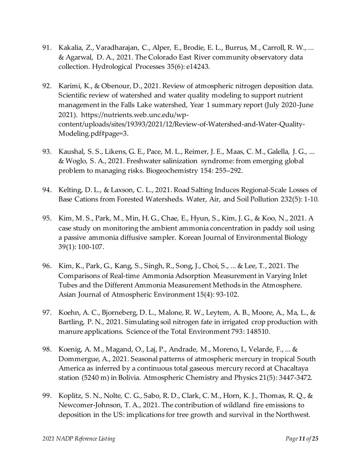- 91. Kakalia, Z., Varadharajan, C., Alper, E., Brodie, E. L., Burrus, M., Carroll, R. W., ... & Agarwal, D. A., 2021. The Colorado East River community observatory data collection. Hydrological Processes 35(6): e14243.
- 92. Karimi, K., & Obenour, D., 2021. Review of atmospheric nitrogen deposition data. Scientific review of watershed and water quality modeling to support nutrient management in the Falls Lake watershed, Year 1 summary report (July 2020-June 2021). https://nutrients.web.unc.edu/wpcontent/uploads/sites/19393/2021/12/Review-of-Watershed-and-Water-Quality-Modeling.pdf#page=3.
- 93. Kaushal, S. S., Likens, G. E., Pace, M. L., Reimer, J. E., Maas, C. M., Galella, J. G., ... & Woglo, S. A., 2021. Freshwater salinization syndrome: from emerging global problem to managing risks. Biogeochemistry 154: 255–292.
- 94. Kelting, D. L., & Laxson, C. L., 2021. Road Salting Induces Regional-Scale Losses of Base Cations from Forested Watersheds. Water, Air, and Soil Pollution 232(5): 1-10.
- 95. Kim, M. S., Park, M., Min, H. G., Chae, E., Hyun, S., Kim, J. G., & Koo, N., 2021. A case study on monitoring the ambient ammonia concentration in paddy soil using a passive ammonia diffusive sampler. Korean Journal of Environmental Biology 39(1): 100-107.
- 96. Kim, K., Park, G., Kang, S., Singh, R., Song, J., Choi, S., ... & Lee, T., 2021. The Comparisons of Real-time Ammonia Adsorption Measurement in Varying Inlet Tubes and the Different Ammonia Measurement Methods in the Atmosphere. Asian Journal of Atmospheric Environment 15(4): 93-102.
- 97. Koehn, A. C., Bjorneberg, D. L., Malone, R. W., Leytem, A. B., Moore, A., Ma, L., & Bartling, P. N., 2021. Simulating soil nitrogen fate in irrigated crop production with manure applications. Science of the Total Environment 793: 148510.
- 98. Koenig, A. M., Magand, O., Laj, P., Andrade, M., Moreno, I., Velarde, F., ... & Dommergue, A., 2021. Seasonal patterns of atmospheric mercury in tropical South America as inferred by a continuous total gaseous mercury record at Chacaltaya station (5240 m) in Bolivia. Atmospheric Chemistry and Physics 21(5): 3447-3472.
- 99. Koplitz, S. N., Nolte, C. G., Sabo, R. D., Clark, C. M., Horn, K. J., Thomas, R. Q., & Newcomer-Johnson, T. A., 2021. The contribution of wildland fire emissions to deposition in the US: implications for tree growth and survival in the Northwest.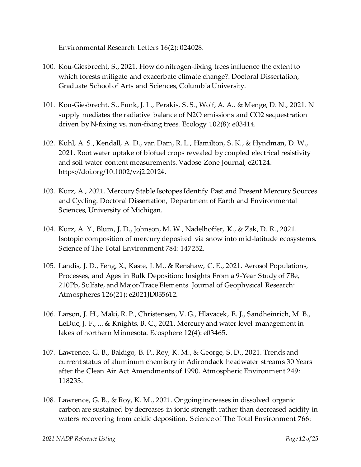Environmental Research Letters 16(2): 024028.

- 100. Kou-Giesbrecht, S., 2021. How do nitrogen-fixing trees influence the extent to which forests mitigate and exacerbate climate change?. Doctoral Dissertation, Graduate School of Arts and Sciences, Columbia University.
- 101. Kou‐Giesbrecht, S., Funk, J. L., Perakis, S. S., Wolf, A. A., & Menge, D. N., 2021. N supply mediates the radiative balance of N2O emissions and CO2 sequestration driven by N‐fixing vs. non‐fixing trees. Ecology 102(8): e03414.
- 102. Kuhl, A. S., Kendall, A. D., van Dam, R. L., Hamilton, S. K., & Hyndman, D. W., 2021. Root water uptake of biofuel crops revealed by coupled electrical resistivity and soil water content measurements. Vadose Zone Journal, e20124. https://doi.org/10.1002/vzj2.20124.
- 103. Kurz, A., 2021. Mercury Stable Isotopes Identify Past and Present Mercury Sources and Cycling. Doctoral Dissertation, Department of Earth and Environmental Sciences, University of Michigan.
- 104. Kurz, A. Y., Blum, J. D., Johnson, M. W., Nadelhoffer, K., & Zak, D. R., 2021. Isotopic composition of mercury deposited via snow into mid-latitude ecosystems. Science of The Total Environment 784: 147252.
- 105. Landis, J. D., Feng, X., Kaste, J. M., & Renshaw, C. E., 2021. Aerosol Populations, Processes, and Ages in Bulk Deposition: Insights From a 9‐Year Study of 7Be, 210Pb, Sulfate, and Major/Trace Elements. Journal of Geophysical Research: Atmospheres 126(21): e2021JD035612.
- 106. Larson, J. H., Maki, R. P., Christensen, V. G., Hlavacek, E. J., Sandheinrich, M. B., LeDuc, J. F., ... & Knights, B. C., 2021. Mercury and water level management in lakes of northern Minnesota. Ecosphere 12(4): e03465.
- 107. Lawrence, G. B., Baldigo, B. P., Roy, K. M., & George, S. D., 2021. Trends and current status of aluminum chemistry in Adirondack headwater streams 30 Years after the Clean Air Act Amendments of 1990. Atmospheric Environment 249: 118233.
- 108. Lawrence, G. B., & Roy, K. M., 2021. Ongoing increases in dissolved organic carbon are sustained by decreases in ionic strength rather than decreased acidity in waters recovering from acidic deposition. Science of The Total Environment 766: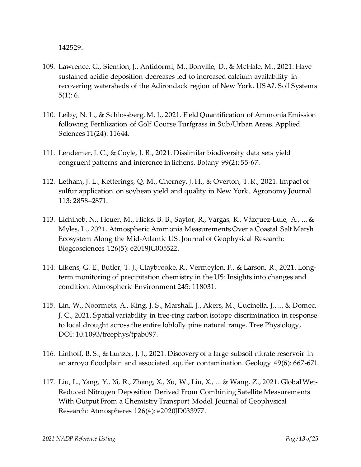142529.

- 109. Lawrence, G., Siemion, J., Antidormi, M., Bonville, D., & McHale, M., 2021. Have sustained acidic deposition decreases led to increased calcium availability in recovering watersheds of the Adirondack region of New York, USA?. Soil Systems 5(1): 6.
- 110. Leiby, N. L., & Schlossberg, M. J., 2021. Field Quantification of Ammonia Emission following Fertilization of Golf Course Turfgrass in Sub/Urban Areas. Applied Sciences 11(24): 11644.
- 111. Lendemer, J. C., & Coyle, J. R., 2021. Dissimilar biodiversity data sets yield congruent patterns and inference in lichens. Botany 99(2): 55-67.
- 112. Letham, J. L., Ketterings, Q. M., Cherney, J. H., & Overton, T. R., 2021. Impact of sulfur application on soybean yield and quality in New York. Agronomy Journal 113: 2858–2871.
- 113. Lichiheb, N., Heuer, M., Hicks, B. B., Saylor, R., Vargas, R., Vázquez‐Lule, A., ... & Myles, L., 2021. Atmospheric Ammonia Measurements Over a Coastal Salt Marsh Ecosystem Along the Mid‐Atlantic US. Journal of Geophysical Research: Biogeosciences 126(5): e2019JG005522.
- 114. Likens, G. E., Butler, T. J., Claybrooke, R., Vermeylen, F., & Larson, R., 2021. Longterm monitoring of precipitation chemistry in the US: Insights into changes and condition. Atmospheric Environment 245: 118031.
- 115. Lin, W., Noormets, A., King, J. S., Marshall, J., Akers, M., Cucinella, J., ... & Domec, J. C., 2021. Spatial variability in tree-ring carbon isotope discrimination in response to local drought across the entire loblolly pine natural range. Tree Physiology, DOI: [10.1093/treephys/tpab097](https://doi.org/10.1093/treephys/tpab097).
- 116. Linhoff, B. S., & Lunzer, J. J., 2021. Discovery of a large subsoil nitrate reservoir in an arroyo floodplain and associated aquifer contamination. Geology 49(6): 667-671.
- 117. Liu, L., Yang, Y., Xi, R., Zhang, X., Xu, W., Liu, X., ... & Wang, Z., 2021. Global Wet‐ Reduced Nitrogen Deposition Derived From Combining Satellite Measurements With Output From a Chemistry Transport Model. Journal of Geophysical Research: Atmospheres 126(4): e2020JD033977.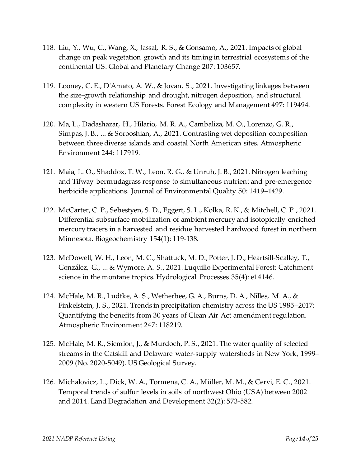- 118. Liu, Y., Wu, C., Wang, X., Jassal, R. S., & Gonsamo, A., 2021. Impacts of global change on peak vegetation growth and its timing in terrestrial ecosystems of the continental US. Global and Planetary Change 207: 103657.
- 119. Looney, C. E., D'Amato, A. W., & Jovan, S., 2021. Investigating linkages between the size-growth relationship and drought, nitrogen deposition, and structural complexity in western US Forests. Forest Ecology and Management 497: 119494.
- 120. Ma, L., Dadashazar, H., Hilario, M. R. A., Cambaliza, M. O., Lorenzo, G. R., Simpas, J. B., ... & Sorooshian, A., 2021. Contrasting wet deposition composition between three diverse islands and coastal North American sites. Atmospheric Environment 244: 117919.
- 121. Maia, L. O., Shaddox, T. W., Leon, R. G., & Unruh, J. B., 2021. Nitrogen leaching and Tifway bermudagrass response to simultaneous nutrient and pre‐emergence herbicide applications. Journal of Environmental Quality 50: 1419–1429.
- 122. McCarter, C. P., Sebestyen, S. D., Eggert, S. L., Kolka, R. K., & Mitchell, C. P., 2021. Differential subsurface mobilization of ambient mercury and isotopically enriched mercury tracers in a harvested and residue harvested hardwood forest in northern Minnesota. Biogeochemistry 154(1): 119-138.
- 123. McDowell, W. H., Leon, M. C., Shattuck, M. D., Potter, J. D., Heartsill‐Scalley, T., González, G., ... & Wymore, A. S., 2021. Luquillo Experimental Forest: Catchment science in the montane tropics. Hydrological Processes 35(4): e14146.
- 124. McHale, M. R., Ludtke, A. S., Wetherbee, G. A., Burns, D. A., Nilles, M. A., & Finkelstein, J. S., 2021. Trends in precipitation chemistry across the US 1985–2017: Quantifying the benefits from 30 years of Clean Air Act amendment regulation. Atmospheric Environment 247: 118219.
- 125. McHale, M. R., Siemion, J., & Murdoch, P. S., 2021. The water quality of selected streams in the Catskill and Delaware water-supply watersheds in New York, 1999– 2009 (No. 2020-5049). US Geological Survey.
- 126. Michalovicz, L., Dick, W. A., Tormena, C. A., Müller, M. M., & Cervi, E. C., 2021. Temporal trends of sulfur levels in soils of northwest Ohio (USA) between 2002 and 2014. Land Degradation and Development 32(2): 573-582.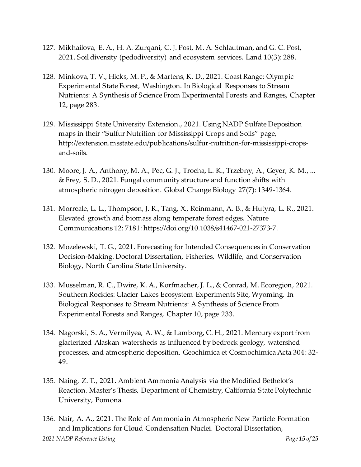- 127. Mikhailova, E. A., H. A. Zurqani, C. J. Post, M. A. Schlautman, and G. C. Post, 2021. Soil diversity (pedodiversity) and ecosystem services. Land 10(3): 288.
- 128. Minkova, T. V., Hicks, M. P., & Martens, K. D., 2021. Coast Range: Olympic Experimental State Forest, Washington. In Biological Responses to Stream Nutrients: A Synthesis of Science From Experimental Forests and Ranges, Chapter 12, page 283.
- 129. Mississippi State University Extension., 2021. Using NADP Sulfate Deposition maps in their "Sulfur Nutrition for Mississippi Crops and Soils" page, [http://extension.msstate.edu/publications/sulfur-nutrition-for-mississippi-crops](http://extension.msstate.edu/publications/sulfur-nutrition-for-mississippi-crops-and-soils)[and-soils.](http://extension.msstate.edu/publications/sulfur-nutrition-for-mississippi-crops-and-soils)
- 130. Moore, J. A., Anthony, M. A., Pec, G. J., Trocha, L. K., Trzebny, A., Geyer, K. M., ... & Frey, S. D., 2021. Fungal community structure and function shifts with atmospheric nitrogen deposition. Global Change Biology 27(7): 1349-1364.
- 131. Morreale, L. L., Thompson, J. R., Tang, X., Reinmann, A. B., & Hutyra, L. R., 2021. Elevated growth and biomass along temperate forest edges. Nature Communications 12: 7181: https://doi.org/10.1038/s41467-021-27373-7.
- 132. Mozelewski, T. G., 2021. Forecasting for Intended Consequences in Conservation Decision-Making. Doctoral Dissertation, Fisheries, Wildlife, and Conservation Biology, North Carolina State University.
- 133. Musselman, R. C., Dwire, K. A., Korfmacher, J. L., & Conrad, M. Ecoregion, 2021. Southern Rockies: Glacier Lakes Ecosystem Experiments Site, Wyoming. In Biological Responses to Stream Nutrients: A Synthesis of Science From Experimental Forests and Ranges, Chapter 10, page 233.
- 134. Nagorski, S. A., Vermilyea, A. W., & Lamborg, C. H., 2021. Mercury export from glacierized Alaskan watersheds as influenced by bedrock geology, watershed processes, and atmospheric deposition. Geochimica et Cosmochimica Acta 304: 32- 49.
- 135. Naing, Z. T., 2021. Ambient Ammonia Analysis via the Modified Bethelot's Reaction. Master's Thesis, Department of Chemistry, California State Polytechnic University, Pomona.
- *2021 NADP Reference Listing Page 15 of 25* 136. Nair, A. A., 2021. The Role of Ammonia in Atmospheric New Particle Formation and Implications for Cloud Condensation Nuclei. Doctoral Dissertation,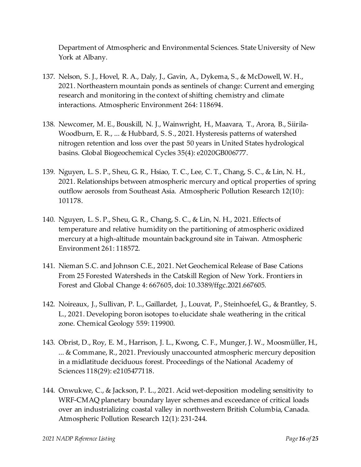Department of Atmospheric and Environmental Sciences. State University of New York at Albany.

- 137. Nelson, S. J., Hovel, R. A., Daly, J., Gavin, A., Dykema, S., & McDowell, W. H., 2021. Northeastern mountain ponds as sentinels of change: Current and emerging research and monitoring in the context of shifting chemistry and climate interactions. Atmospheric Environment 264: 118694.
- 138. Newcomer, M. E., Bouskill, N. J., Wainwright, H., Maavara, T., Arora, B., Siirila‐ Woodburn, E. R., ... & Hubbard, S. S., 2021. Hysteresis patterns of watershed nitrogen retention and loss over the past 50 years in United States hydrological basins. Global Biogeochemical Cycles 35(4): e2020GB006777.
- 139. Nguyen, L. S. P., Sheu, G. R., Hsiao, T. C., Lee, C. T., Chang, S. C., & Lin, N. H., 2021. Relationships between atmospheric mercury and optical properties of spring outflow aerosols from Southeast Asia. Atmospheric Pollution Research 12(10): 101178.
- 140. Nguyen, L. S. P., Sheu, G. R., Chang, S. C., & Lin, N. H., 2021. Effects of temperature and relative humidity on the partitioning of atmospheric oxidized mercury at a high-altitude mountain background site in Taiwan. Atmospheric Environment 261: 118572.
- 141. Nieman S.C. and Johnson C.E., 2021. Net Geochemical Release of Base Cations From 25 Forested Watersheds in the Catskill Region of New York. Frontiers in Forest and Global Change 4: 667605, doi: 10.3389/ffgc.2021.667605.
- 142. Noireaux, J., Sullivan, P. L., Gaillardet, J., Louvat, P., Steinhoefel, G., & Brantley, S. L., 2021. Developing boron isotopes to elucidate shale weathering in the critical zone. Chemical Geology 559: 119900.
- 143. Obrist, D., Roy, E. M., Harrison, J. L., Kwong, C. F., Munger, J. W., Moosmüller, H., ... & Commane, R., 2021. Previously unaccounted atmospheric mercury deposition in a midlatitude deciduous forest. Proceedings of the National Academy of Sciences 118(29): e2105477118.
- 144. Onwukwe, C., & Jackson, P. L., 2021. Acid wet-deposition modeling sensitivity to WRF-CMAQ planetary boundary layer schemes and exceedance of critical loads over an industrializing coastal valley in northwestern British Columbia, Canada. Atmospheric Pollution Research 12(1): 231-244.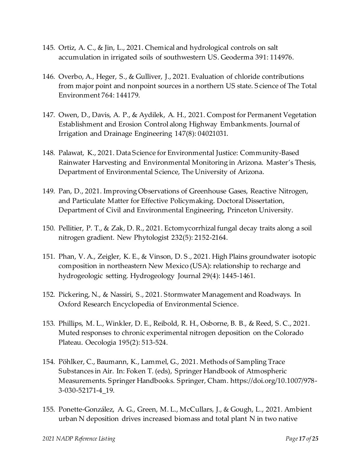- 145. Ortiz, A. C., & Jin, L., 2021. Chemical and hydrological controls on salt accumulation in irrigated soils of southwestern US. Geoderma 391: 114976.
- 146. Overbo, A., Heger, S., & Gulliver, J., 2021. Evaluation of chloride contributions from major point and nonpoint sources in a northern US state. S cience of The Total Environment 764: 144179.
- 147. Owen, D., Davis, A. P., & Aydilek, A. H., 2021. Compost for Permanent Vegetation Establishment and Erosion Control along Highway Embankments. Journal of Irrigation and Drainage Engineering 147(8): 04021031.
- 148. Palawat, K., 2021. Data Science for Environmental Justice: Community-Based Rainwater Harvesting and Environmental Monitoring in Arizona. Master's Thesis, Department of Environmental Science, The University of Arizona.
- 149. Pan, D., 2021. Improving Observations of Greenhouse Gases, Reactive Nitrogen, and Particulate Matter for Effective Policymaking. Doctoral Dissertation, Department of Civil and Environmental Engineering, Princeton University.
- 150. Pellitier, P. T., & Zak, D. R., 2021. Ectomycorrhizal fungal decay traits along a soil nitrogen gradient. New Phytologist 232(5): 2152-2164.
- 151. Phan, V. A., Zeigler, K. E., & Vinson, D. S., 2021. High Plains groundwater isotopic composition in northeastern New Mexico (USA): relationship to recharge and hydrogeologic setting. Hydrogeology Journal 29(4): 1445-1461.
- 152. Pickering, N., & Nassiri, S., 2021. Stormwater Management and Roadways. In Oxford Research Encyclopedia of Environmental Science.
- 153. Phillips, M. L., Winkler, D. E., Reibold, R. H., Osborne, B. B., & Reed, S. C., 2021. Muted responses to chronic experimental nitrogen deposition on the Colorado Plateau. Oecologia 195(2): 513-524.
- 154. Pöhlker, C., Baumann, K., Lammel, G., 2021. Methods of Sampling Trace Substances in Air. In: Foken T. (eds), Springer Handbook of Atmospheric Measurements. Springer Handbooks. Springer, Cham. [https://doi.org/10.1007/978-](https://doi.org/10.1007/978-3-030-52171-4_19) [3-030-52171-4\\_19](https://doi.org/10.1007/978-3-030-52171-4_19).
- 155. Ponette-González, A. G., Green, M. L., McCullars, J., & Gough, L., 2021. Ambient urban N deposition drives increased biomass and total plant N in two native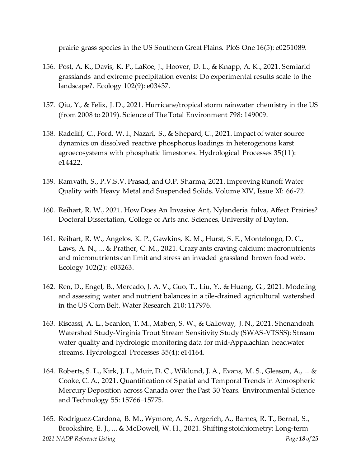prairie grass species in the US Southern Great Plains. PloS One 16(5): e0251089.

- 156. Post, A. K., Davis, K. P., LaRoe, J., Hoover, D. L., & Knapp, A. K., 2021. Semiarid grasslands and extreme precipitation events: Do experimental results scale to the landscape?. Ecology 102(9): e03437.
- 157. Qiu, Y., & Felix, J. D., 2021. Hurricane/tropical storm rainwater chemistry in the US (from 2008 to 2019). Science of The Total Environment 798: 149009.
- 158. Radcliff, C., Ford, W. I., Nazari, S., & Shepard, C., 2021. Impact of water source dynamics on dissolved reactive phosphorus loadings in heterogenous karst agroecosystems with phosphatic limestones. Hydrological Processes 35(11): e14422.
- 159. Ramvath, S., P.V.S.V. Prasad, and O.P. Sharma, 2021. Improving Runoff Water Quality with Heavy Metal and Suspended Solids. Volume XIV, Issue XI: 66-72.
- 160. Reihart, R. W., 2021. How Does An Invasive Ant, Nylanderia fulva, Affect Prairies? Doctoral Dissertation, College of Arts and Sciences, University of Dayton.
- 161. Reihart, R. W., Angelos, K. P., Gawkins, K. M., Hurst, S. E., Montelongo, D. C., Laws, A. N., ... & Prather, C. M., 2021. Crazy ants craving calcium: macronutrients and micronutrients can limit and stress an invaded grassland brown food web. Ecology 102(2): e03263.
- 162. Ren, D., Engel, B., Mercado, J. A. V., Guo, T., Liu, Y., & Huang, G., 2021. Modeling and assessing water and nutrient balances in a tile-drained agricultural watershed in the US Corn Belt. Water Research 210: 117976.
- 163. Riscassi, A. L., Scanlon, T. M., Maben, S. W., & Galloway, J. N., 2021. Shenandoah Watershed Study‐Virginia Trout Stream Sensitivity Study (SWAS‐VTSSS): Stream water quality and hydrologic monitoring data for mid‐Appalachian headwater streams. Hydrological Processes 35(4): e14164.
- 164. Roberts, S. L., Kirk, J. L., Muir, D. C., Wiklund, J. A., Evans, M. S., Gleason, A., ... & Cooke, C. A., 2021. Quantification of Spatial and Temporal Trends in Atmospheric Mercury Deposition across Canada over the Past 30 Years. Environmental Science and Technology 55: 15766−15775.
- *2021 NADP Reference Listing Page 18 of 25* 165. Rodríguez‐Cardona, B. M., Wymore, A. S., Argerich, A., Barnes, R. T., Bernal, S., Brookshire, E. J., ... & McDowell, W. H., 2021. Shifting stoichiometry: Long‐term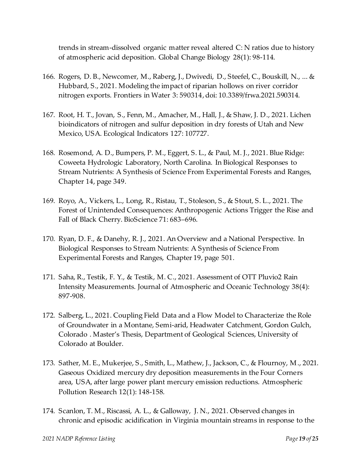trends in stream‐dissolved organic matter reveal altered C: N ratios due to history of atmospheric acid deposition. Global Change Biology 28(1): 98-114.

- 166. Rogers, D. B., Newcomer, M., Raberg, J., Dwivedi, D., Steefel, C., Bouskill, N., ... & Hubbard, S., 2021. Modeling the impact of riparian hollows on river corridor nitrogen exports. Frontiers in Water 3: 590314,doi: 10.3389/frwa.2021.590314.
- 167. Root, H. T., Jovan, S., Fenn, M., Amacher, M., Hall, J., & Shaw, J. D., 2021. Lichen bioindicators of nitrogen and sulfur deposition in dry forests of Utah and New Mexico, USA. Ecological Indicators 127: 107727.
- 168. Rosemond, A. D., Bumpers, P. M., Eggert, S. L., & Paul, M. J., 2021. Blue Ridge: Coweeta Hydrologic Laboratory, North Carolina. In Biological Responses to Stream Nutrients: A Synthesis of Science From Experimental Forests and Ranges, Chapter 14, page 349.
- 169. Royo, A., Vickers, L., Long, R., Ristau, T., Stoleson, S., & Stout, S. L., 2021. The Forest of Unintended Consequences: Anthropogenic Actions Trigger the Rise and Fall of Black Cherry. BioScience 71: 683–696.
- 170. Ryan, D. F., & Danehy, R. J., 2021. An Overview and a National Perspective. In Biological Responses to Stream Nutrients: A Synthesis of Science From Experimental Forests and Ranges, Chapter 19, page 501.
- 171. Saha, R., Testik, F. Y., & Testik, M. C., 2021. Assessment of OTT Pluvio2 Rain Intensity Measurements. Journal of Atmospheric and Oceanic Technology 38(4): 897-908.
- 172. Salberg, L., 2021. Coupling Field Data and a Flow Model to Characterize the Role of Groundwater in a Montane, Semi-arid, Headwater Catchment, Gordon Gulch, Colorado . Master's Thesis, Department of Geological Sciences, University of Colorado at Boulder.
- 173. Sather, M. E., Mukerjee, S., Smith, L., Mathew, J., Jackson, C., & Flournoy, M., 2021. Gaseous Oxidized mercury dry deposition measurements in the Four Corners area, USA, after large power plant mercury emission reductions. Atmospheric Pollution Research 12(1): 148-158.
- 174. Scanlon, T. M., Riscassi, A. L., & Galloway, J. N., 2021. Observed changes in chronic and episodic acidification in Virginia mountain streams in response to the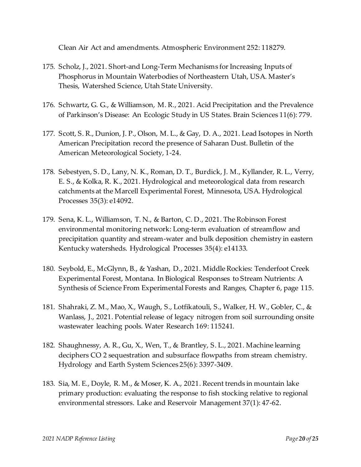Clean Air Act and amendments. Atmospheric Environment 252: 118279.

- 175. Scholz, J., 2021. Short-and Long-Term Mechanisms for Increasing Inputs of Phosphorus in Mountain Waterbodies of Northeastern Utah, USA. Master's Thesis, Watershed Science, Utah State University.
- 176. Schwartz, G. G., & Williamson, M. R., 2021. Acid Precipitation and the Prevalence of Parkinson's Disease: An Ecologic Study in US States. Brain Sciences 11(6): 779.
- 177. Scott, S. R., Dunion, J. P., Olson, M. L., & Gay, D. A., 2021. Lead Isotopes in North American Precipitation record the presence of Saharan Dust. Bulletin of the American Meteorological Society, 1-24.
- 178. Sebestyen, S. D., Lany, N. K., Roman, D. T., Burdick, J. M., Kyllander, R. L., Verry, E. S., & Kolka, R. K., 2021. Hydrological and meteorological data from research catchments at the Marcell Experimental Forest, Minnesota, USA. Hydrological Processes 35(3): e14092.
- 179. Sena, K. L., Williamson, T. N., & Barton, C. D., 2021. The Robinson Forest environmental monitoring network: Long‐term evaluation of streamflow and precipitation quantity and stream‐water and bulk deposition chemistry in eastern Kentucky watersheds. Hydrological Processes 35(4): e14133.
- 180. Seybold, E., McGlynn, B., & Yashan, D., 2021. Middle Rockies: Tenderfoot Creek Experimental Forest, Montana. In Biological Responses to Stream Nutrients: A Synthesis of Science From Experimental Forests and Ranges, Chapter 6, page 115.
- 181. Shahraki, Z. M., Mao, X., Waugh, S., Lotfikatouli, S., Walker, H. W., Gobler, C., & Wanlass, J., 2021. Potential release of legacy nitrogen from soil surrounding onsite wastewater leaching pools. Water Research 169: 115241.
- 182. Shaughnessy, A. R., Gu, X., Wen, T., & Brantley, S. L., 2021. Machine learning deciphers CO 2 sequestration and subsurface flowpaths from stream chemistry. Hydrology and Earth System Sciences 25(6): 3397-3409.
- 183. Sia, M. E., Doyle, R. M., & Moser, K. A., 2021. Recent trends in mountain lake primary production: evaluating the response to fish stocking relative to regional environmental stressors. Lake and Reservoir Management 37(1): 47-62.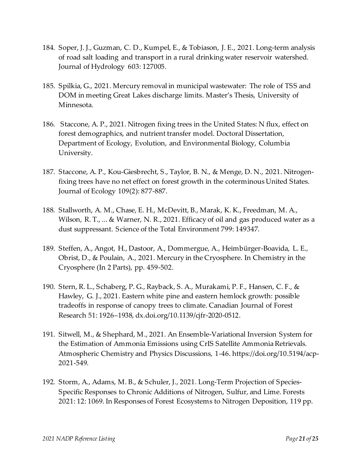- 184. Soper, J. J., Guzman, C. D., Kumpel, E., & Tobiason, J. E., 2021. Long-term analysis of road salt loading and transport in a rural drinking water reservoir watershed. Journal of Hydrology 603: 127005.
- 185. Spilkia, G., 2021. Mercury removal in municipal wastewater: The role of TSS and DOM in meeting Great Lakes discharge limits. Master's Thesis, University of Minnesota.
- 186. Staccone, A. P., 2021. Nitrogen fixing trees in the United States: N flux, effect on forest demographics, and nutrient transfer model. Doctoral Dissertation, Department of Ecology, Evolution, and Environmental Biology, Columbia University.
- 187. Staccone, A. P., Kou‐Giesbrecht, S., Taylor, B. N., & Menge, D. N., 2021. Nitrogen‐ fixing trees have no net effect on forest growth in the coterminous United States. Journal of Ecology 109(2): 877-887.
- 188. Stallworth, A. M., Chase, E. H., McDevitt, B., Marak, K. K., Freedman, M. A., Wilson, R. T., ... & Warner, N. R., 2021. Efficacy of oil and gas produced water as a dust suppressant. Science of the Total Environment 799: 149347.
- 189. Steffen, A., Angot, H., Dastoor, A., Dommergue, A., Heimbürger-Boavida, L. E., Obrist, D., & Poulain, A., 2021. Mercury in the Cryosphere. In Chemistry in the Cryosphere (In 2 Parts), pp. 459-502.
- 190. Stern, R. L., Schaberg, P. G., Rayback, S. A., Murakami, P. F., Hansen, C. F., & Hawley, G. J., 2021. Eastern white pine and eastern hemlock growth: possible tradeoffs in response of canopy trees to climate. Canadian Journal of Forest Research 51: 1926–1938, dx.doi.org/10.1139/cjfr-2020-0512.
- 191. Sitwell, M., & Shephard, M., 2021. An Ensemble-Variational Inversion System for the Estimation of Ammonia Emissions using CrIS Satellite Ammonia Retrievals. Atmospheric Chemistry and Physics Discussions, 1-46. https://doi.org/10.5194/acp-2021-549.
- 192. Storm, A., Adams, M. B., & Schuler, J., 2021. Long-Term Projection of Species-Specific Responses to Chronic Additions of Nitrogen, Sulfur, and Lime. Forests 2021: 12: 1069. In Responses of Forest Ecosystems to Nitrogen Deposition, 119 pp.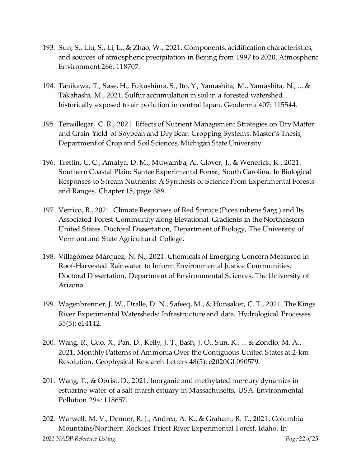- 193. Sun, S., Liu, S., Li, L., & Zhao, W., 2021. Components, acidification characteristics, and sources of atmospheric precipitation in Beijing from 1997 to 2020. Atmospheric Environment 266: 118707.
- 194. Tanikawa, T., Sase, H., Fukushima, S., Ito, Y., Yamashita, M., Yamashita, N., ... & Takahashi, M., 2021. Sulfur accumulation in soil in a forested watershed historically exposed to air pollution in central Japan. Geoderma 407: 115544.
- 195. Terwillegar, C. R., 2021. Effects of Nutrient Management Strategies on Dry Matter and Grain Yield of Soybean and Dry Bean Cropping Systems. Master's Thesis, Department of Crop and Soil Sciences, Michigan State University.
- 196. Trettin, C. C., Amatya, D. M., Muwamba, A., Glover, J., & Wenerick, R.. 2021. Southern Coastal Plain: Santee Experimental Forest, South Carolina. In Biological Responses to Stream Nutrients: A Synthesis of Science From Experimental Forests and Ranges, Chapter 15, page 389.
- 197. Verrico, B., 2021. Climate Responses of Red Spruce (Picea rubens Sarg.) and Its Associated Forest Community along Elevational Gradients in the Northeastern United States. Doctoral Dissertation, Department of Biology, The University of Vermont and State Agricultural College.
- 198. Villagómez-Márquez, N. N., 2021. Chemicals of Emerging Concern Measured in Roof-Harvested Rainwater to Inform Environmental Justice Communities. Doctoral Dissertation, Department of Environmental Sciences, The University of Arizona.
- 199. Wagenbrenner, J. W., Dralle, D. N., Safeeq, M., & Hunsaker, C. T., 2021. The Kings River Experimental Watersheds: Infrastructure and data. Hydrological Processes 35(5): e14142.
- 200. Wang, R., Guo, X., Pan, D., Kelly, J. T., Bash, J. O., Sun, K., ... & Zondlo, M. A., 2021. Monthly Patterns of Ammonia Over the Contiguous United States at 2‐km Resolution. Geophysical Research Letters 48(5): e2020GL090579.
- 201. Wang, T., & Obrist, D., 2021. Inorganic and methylated mercury dynamics in estuarine water of a salt marsh estuary in Massachusetts, USA. Environmental Pollution 294: 118657.
- *2021 NADP Reference Listing Page 22 of 25* 202. Warwell, M. V., Denner, R. J., Andrea, A. K., & Graham, R. T., 2021. Columbia Mountains/Northern Rockies: Priest River Experimental Forest, Idaho. In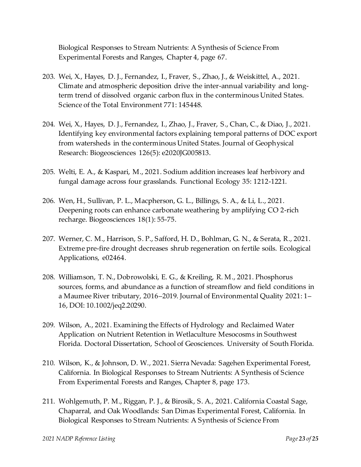Biological Responses to Stream Nutrients: A Synthesis of Science From Experimental Forests and Ranges, Chapter 4, page 67.

- 203. Wei, X., Hayes, D. J., Fernandez, I., Fraver, S., Zhao, J., & Weiskittel, A., 2021. Climate and atmospheric deposition drive the inter-annual variability and longterm trend of dissolved organic carbon flux in the conterminous United States. Science of the Total Environment 771: 145448.
- 204. Wei, X., Hayes, D. J., Fernandez, I., Zhao, J., Fraver, S., Chan, C., & Diao, J., 2021. Identifying key environmental factors explaining temporal patterns of DOC export from watersheds in the conterminous United States. Journal of Geophysical Research: Biogeosciences 126(5): e2020JG005813.
- 205. Welti, E. A., & Kaspari, M., 2021. Sodium addition increases leaf herbivory and fungal damage across four grasslands. Functional Ecology 35: 1212-1221.
- 206. Wen, H., Sullivan, P. L., Macpherson, G. L., Billings, S. A., & Li, L., 2021. Deepening roots can enhance carbonate weathering by amplifying CO 2-rich recharge. Biogeosciences 18(1): 55-75.
- 207. Werner, C. M., Harrison, S. P., Safford, H. D., Bohlman, G. N., & Serata, R., 2021. Extreme pre‐fire drought decreases shrub regeneration on fertile soils. Ecological Applications, e02464.
- 208. Williamson, T. N., Dobrowolski, E. G., & Kreiling, R. M., 2021. Phosphorus sources, forms, and abundance as a function of streamflow and field conditions in a Maumee River tributary, 2016–2019. Journal of Environmental Quality 2021: 1– 16, DOI: 10.1002/jeq2.20290.
- 209. Wilson, A., 2021. Examining the Effects of Hydrology and Reclaimed Water Application on Nutrient Retention in Wetlaculture Mesocosms in Southwest Florida. Doctoral Dissertation, School of Geosciences. University of South Florida.
- 210. Wilson, K., & Johnson, D. W., 2021. Sierra Nevada: Sagehen Experimental Forest, California. In Biological Responses to Stream Nutrients: A Synthesis of Science From Experimental Forests and Ranges, Chapter 8, page 173.
- 211. Wohlgemuth, P. M., Riggan, P. J., & Birosik, S. A., 2021. California Coastal Sage, Chaparral, and Oak Woodlands: San Dimas Experimental Forest, California. In Biological Responses to Stream Nutrients: A Synthesis of Science From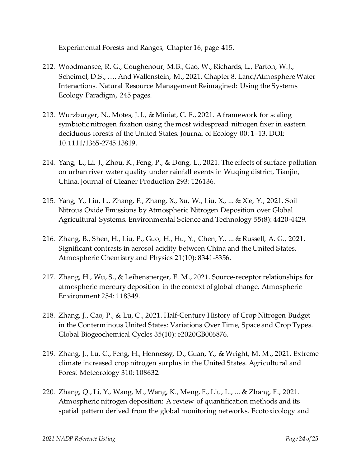Experimental Forests and Ranges, Chapter 16, page 415.

- 212. Woodmansee, R. G., Coughenour, M.B., Gao, W., Richards, L., Parton, W.J., Scheimel, D.S., …. And Wallenstein, M., 2021. Chapter 8, Land/Atmosphere Water Interactions. Natural Resource Management Reimagined: Using the Systems Ecology Paradigm, 245 pages.
- 213. Wurzburger, N., Motes, J. I., & Miniat, C. F., 2021. A framework for scaling symbiotic nitrogen fixation using the most widespread nitrogen fixer in eastern deciduous forests of the United States. Journal of Ecology 00: 1–13. DOI: 10.1111/1365-2745.13819.
- 214. Yang, L., Li, J., Zhou, K., Feng, P., & Dong, L., 2021. The effects of surface pollution on urban river water quality under rainfall events in Wuqing district, Tianjin, China. Journal of Cleaner Production 293: 126136.
- 215. Yang, Y., Liu, L., Zhang, F., Zhang, X., Xu, W., Liu, X., ... & Xie, Y., 2021. Soil Nitrous Oxide Emissions by Atmospheric Nitrogen Deposition over Global Agricultural Systems. Environmental Science and Technology 55(8): 4420-4429.
- 216. Zhang, B., Shen, H., Liu, P., Guo, H., Hu, Y., Chen, Y., ... & Russell, A. G., 2021. Significant contrasts in aerosol acidity between China and the United States. Atmospheric Chemistry and Physics 21(10): 8341-8356.
- 217. Zhang, H., Wu, S., & Leibensperger, E. M., 2021. Source-receptor relationships for atmospheric mercury deposition in the context of global change. Atmospheric Environment 254: 118349.
- 218. Zhang, J., Cao, P., & Lu, C., 2021. Half‐Century History of Crop Nitrogen Budget in the Conterminous United States: Variations Over Time, Space and Crop Types. Global Biogeochemical Cycles 35(10): e2020GB006876.
- 219. Zhang, J., Lu, C., Feng, H., Hennessy, D., Guan, Y., & Wright, M. M., 2021. Extreme climate increased crop nitrogen surplus in the United States. Agricultural and Forest Meteorology 310: 108632.
- 220. Zhang, Q., Li, Y., Wang, M., Wang, K., Meng, F., Liu, L., ... & Zhang, F., 2021. Atmospheric nitrogen deposition: A review of quantification methods and its spatial pattern derived from the global monitoring networks. Ecotoxicology and